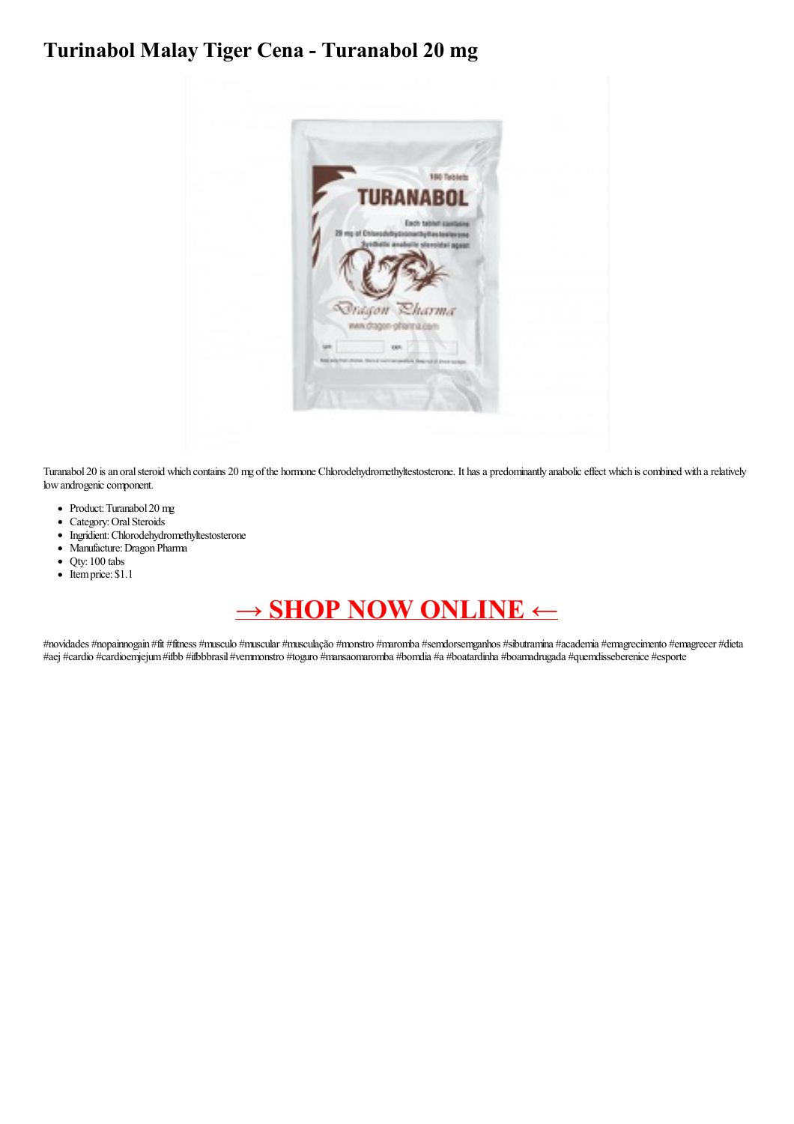## Turinabol Malay Tiger Cena - Turanabol 20 mg



Turanabol 20 is an oral steroid which contains 20 mg of the hormone Chlorodehydromethyltestosterone. It has a predominantly anabolic effect which is combined with a relatively low androgenic component.

- Product: Turanabol 20 mg
- Category: Oral Steroids
- $\bullet$ Ingridient: Chlorodehydromethyltestosterone
- · Manufacture: Dragon Pharma
- $\bullet$ Qty: 100 tabs
- Itemprice: \$1.1

## $\rightarrow$  SHOP NOW ONLINE  $\leftarrow$

#novidades #nopainnogain #fit #fitness #musculo #muscular #musculação #monstro #maromba #semdorsemganhos #sibutramina #academia #emagrecimento #emagrecer #dieta #aej #cardio #cardioemjejum #ifbb #ifbbbrasil #vemmonstro #toguro #mansaomaromba #bomdia #a #boatardinha #boamadrugada #quemdisseberenice #esporte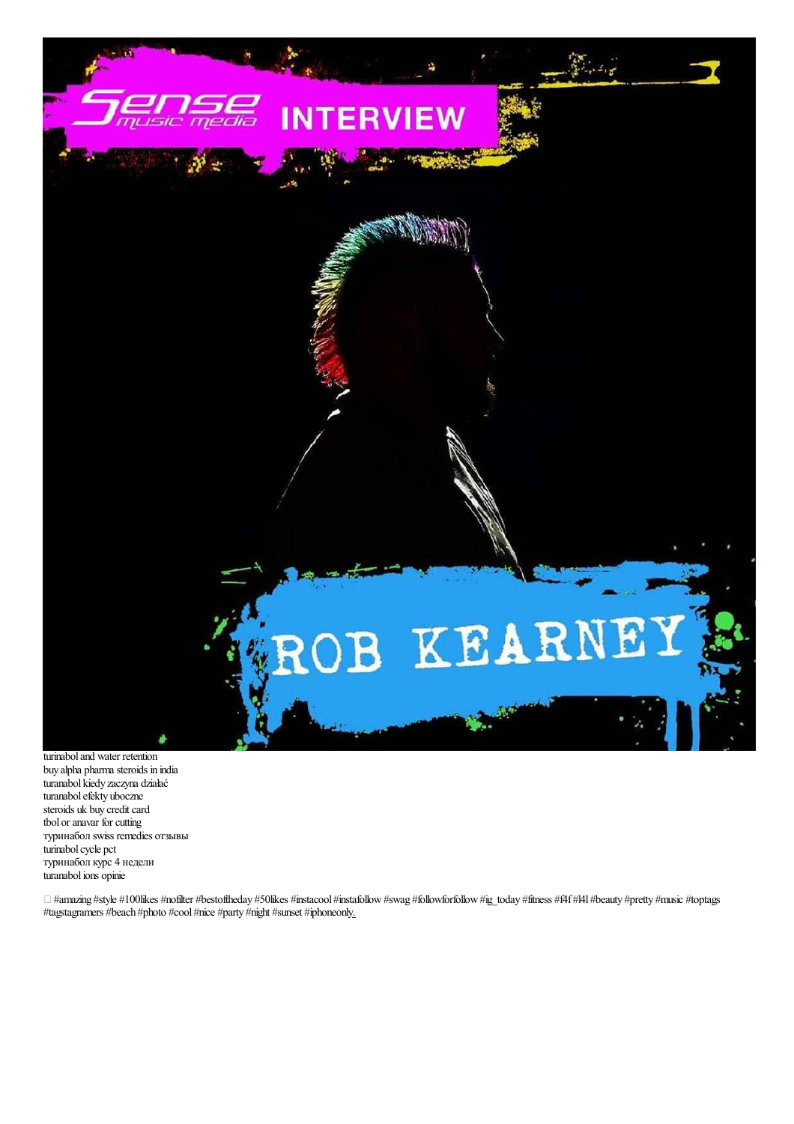

turinabol and water retention buy alpha pharma steroids in india turanabol kiedy zaczyna działać turanabol efekty uboczne steroids uk buy credit card tbol or anavar for cutting туринабол swiss remedies отзывы turinabol cycle pct туринабол курс 4 недели turanabol ions opinie

 $\Box$  #amazing #style #100likes #nofilter #bestoftheday #50likes #instacool #instafollow #swag #followforfollow #ig\_today #fitness #f4f #l4l #beauty #pretty #music #toptags #tagstagramers #beach #photo #cool #nice #party #night #sunset #iphoneonl[y.](https://portfolium.com/entry/genotropin-miniquick-spc-humatrope-cartridge-72i)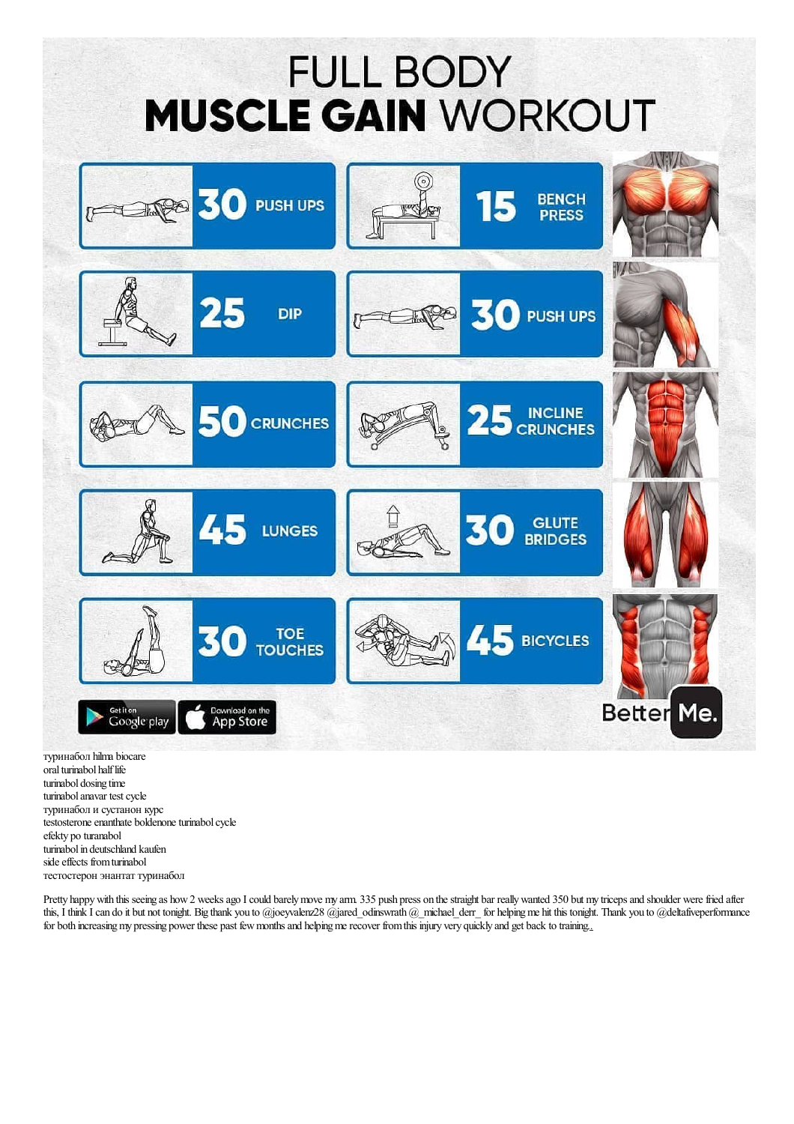## **FULL BODY MUSCLE GAIN WORKOUT**



oral turinabol half life turinabol dosing time turinabol anavar test cycle туринабол и сустанон курс testosterone enanthate boldenone turinabol cycle efekty po turanabol turinabol in deutschland kaufen side effects from turinabol тестостерон энантат туринабол

Pretty happy with this seeing as how 2 weeks ago I could barely move my arm. 335 push press on the straight bar really wanted 350 but my triceps and shoulder were fried after this, I think I can do it but not tonight. Big thank you to @joeyvalenz28 @jared\_odinswrath @\_michael\_derr\_ for helping me hit this tonight. Thank you to @deltafiveperformance for both increasing my pressing power these past few months and helping me recover from this injury very quickly and get back to training.